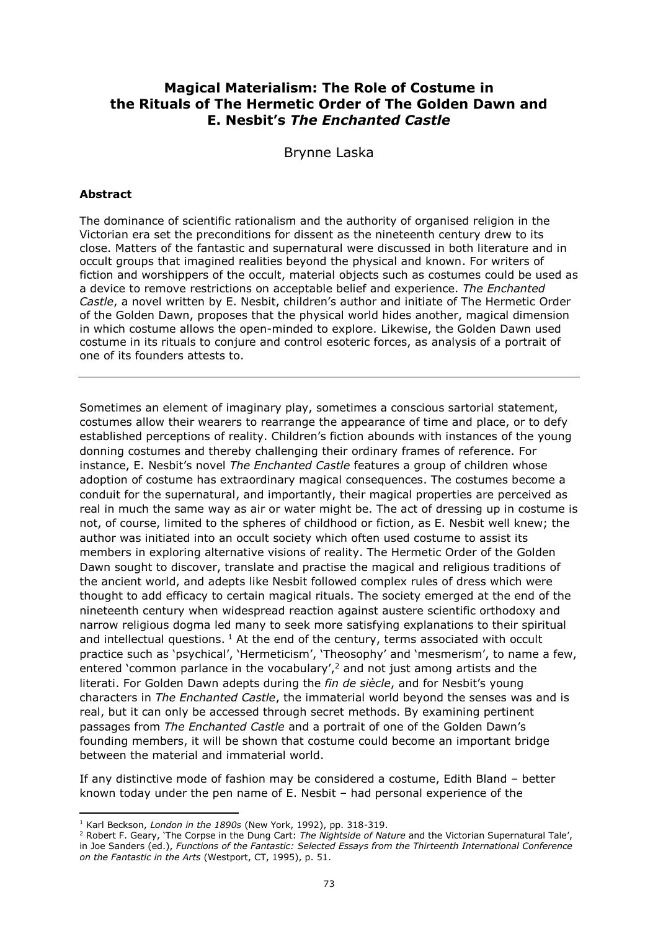## **Magical Materialism: The Role of Costume in the Rituals of The Hermetic Order of The Golden Dawn and E. Nesbit's** *The Enchanted Castle*

Brynne Laska

### **Abstract**

1

The dominance of scientific rationalism and the authority of organised religion in the Victorian era set the preconditions for dissent as the nineteenth century drew to its close. Matters of the fantastic and supernatural were discussed in both literature and in occult groups that imagined realities beyond the physical and known. For writers of fiction and worshippers of the occult, material objects such as costumes could be used as a device to remove restrictions on acceptable belief and experience. *The Enchanted Castle*, a novel written by E. Nesbit, children's author and initiate of The Hermetic Order of the Golden Dawn, proposes that the physical world hides another, magical dimension in which costume allows the open-minded to explore. Likewise, the Golden Dawn used costume in its rituals to conjure and control esoteric forces, as analysis of a portrait of one of its founders attests to.

Sometimes an element of imaginary play, sometimes a conscious sartorial statement, costumes allow their wearers to rearrange the appearance of time and place, or to defy established perceptions of reality. Children's fiction abounds with instances of the young donning costumes and thereby challenging their ordinary frames of reference. For instance, E. Nesbit's novel *The Enchanted Castle* features a group of children whose adoption of costume has extraordinary magical consequences. The costumes become a conduit for the supernatural, and importantly, their magical properties are perceived as real in much the same way as air or water might be. The act of dressing up in costume is not, of course, limited to the spheres of childhood or fiction, as E. Nesbit well knew; the author was initiated into an occult society which often used costume to assist its members in exploring alternative visions of reality. The Hermetic Order of the Golden Dawn sought to discover, translate and practise the magical and religious traditions of the ancient world, and adepts like Nesbit followed complex rules of dress which were thought to add efficacy to certain magical rituals. The society emerged at the end of the nineteenth century when widespread reaction against austere scientific orthodoxy and narrow religious dogma led many to seek more satisfying explanations to their spiritual and intellectual questions.  $1$  At the end of the century, terms associated with occult practice such as 'psychical', 'Hermeticism', 'Theosophy' and 'mesmerism', to name a few, entered 'common parlance in the vocabulary',<sup>2</sup> and not just among artists and the literati. For Golden Dawn adepts during the *fin de siècle*, and for Nesbit's young characters in *The Enchanted Castle*, the immaterial world beyond the senses was and is real, but it can only be accessed through secret methods. By examining pertinent passages from *The Enchanted Castle* and a portrait of one of the Golden Dawn's founding members, it will be shown that costume could become an important bridge between the material and immaterial world.

If any distinctive mode of fashion may be considered a costume, Edith Bland – better known today under the pen name of E. Nesbit – had personal experience of the

<sup>1</sup> Karl Beckson, *London in the 1890s* (New York, 1992), pp. 318-319.

<sup>&</sup>lt;sup>2</sup> Robert F. Geary, 'The Corpse in the Dung Cart: The Nightside of Nature and the Victorian Supernatural Tale', in Joe Sanders (ed.), *Functions of the Fantastic: Selected Essays from the Thirteenth International Conference on the Fantastic in the Arts* (Westport, CT, 1995), p. 51.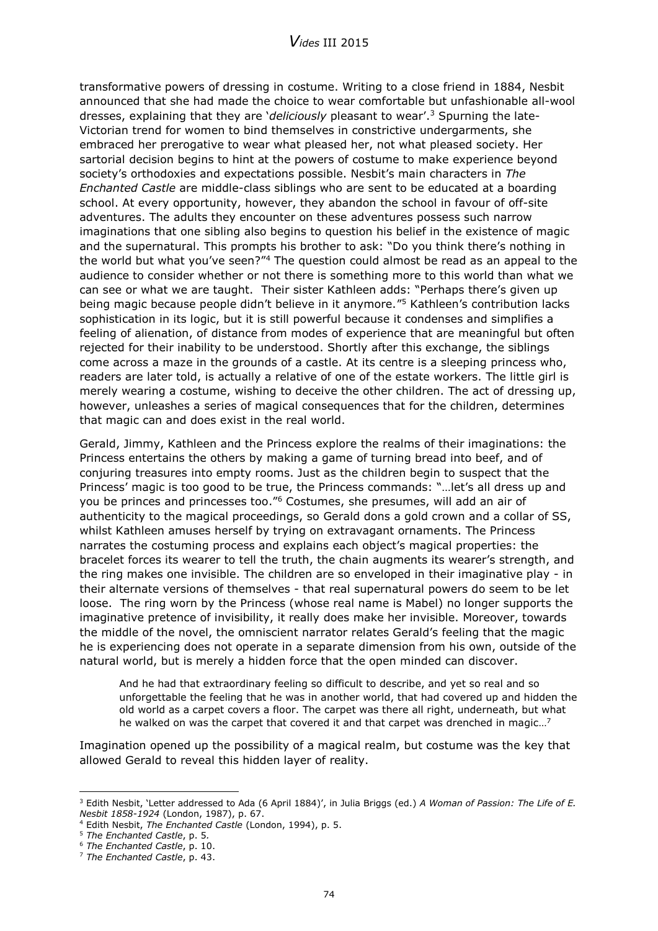transformative powers of dressing in costume. Writing to a close friend in 1884, Nesbit announced that she had made the choice to wear comfortable but unfashionable all-wool dresses, explaining that they are '*deliciously* pleasant to wear'. <sup>3</sup> Spurning the late-Victorian trend for women to bind themselves in constrictive undergarments, she embraced her prerogative to wear what pleased her, not what pleased society. Her sartorial decision begins to hint at the powers of costume to make experience beyond society's orthodoxies and expectations possible. Nesbit's main characters in *The Enchanted Castle* are middle-class siblings who are sent to be educated at a boarding school. At every opportunity, however, they abandon the school in favour of off-site adventures. The adults they encounter on these adventures possess such narrow imaginations that one sibling also begins to question his belief in the existence of magic and the supernatural. This prompts his brother to ask: "Do you think there's nothing in the world but what you've seen?"<sup>4</sup> The question could almost be read as an appeal to the audience to consider whether or not there is something more to this world than what we can see or what we are taught. Their sister Kathleen adds: "Perhaps there's given up being magic because people didn't believe in it anymore." <sup>5</sup> Kathleen's contribution lacks sophistication in its logic, but it is still powerful because it condenses and simplifies a feeling of alienation, of distance from modes of experience that are meaningful but often rejected for their inability to be understood. Shortly after this exchange, the siblings come across a maze in the grounds of a castle. At its centre is a sleeping princess who, readers are later told, is actually a relative of one of the estate workers. The little girl is merely wearing a costume, wishing to deceive the other children. The act of dressing up, however, unleashes a series of magical consequences that for the children, determines that magic can and does exist in the real world.

Gerald, Jimmy, Kathleen and the Princess explore the realms of their imaginations: the Princess entertains the others by making a game of turning bread into beef, and of conjuring treasures into empty rooms. Just as the children begin to suspect that the Princess' magic is too good to be true, the Princess commands: "…let's all dress up and you be princes and princesses too." <sup>6</sup> Costumes, she presumes, will add an air of authenticity to the magical proceedings, so Gerald dons a gold crown and a collar of SS, whilst Kathleen amuses herself by trying on extravagant ornaments. The Princess narrates the costuming process and explains each object's magical properties: the bracelet forces its wearer to tell the truth, the chain augments its wearer's strength, and the ring makes one invisible. The children are so enveloped in their imaginative play - in their alternate versions of themselves - that real supernatural powers do seem to be let loose. The ring worn by the Princess (whose real name is Mabel) no longer supports the imaginative pretence of invisibility, it really does make her invisible. Moreover, towards the middle of the novel, the omniscient narrator relates Gerald's feeling that the magic he is experiencing does not operate in a separate dimension from his own, outside of the natural world, but is merely a hidden force that the open minded can discover.

And he had that extraordinary feeling so difficult to describe, and yet so real and so unforgettable the feeling that he was in another world, that had covered up and hidden the old world as a carpet covers a floor. The carpet was there all right, underneath, but what he walked on was the carpet that covered it and that carpet was drenched in magic…<sup>7</sup>

Imagination opened up the possibility of a magical realm, but costume was the key that allowed Gerald to reveal this hidden layer of reality.

<sup>3</sup> Edith Nesbit, 'Letter addressed to Ada (6 April 1884)', in Julia Briggs (ed.) *A Woman of Passion: The Life of E. Nesbit 1858-1924* (London, 1987), p. 67.

<sup>4</sup> Edith Nesbit, *The Enchanted Castle* (London, 1994), p. 5.

<sup>5</sup> *The Enchanted Castle*, p. 5*.*

<sup>6</sup> *The Enchanted Castle*, p. 10.

<sup>7</sup> *The Enchanted Castle*, p. 43.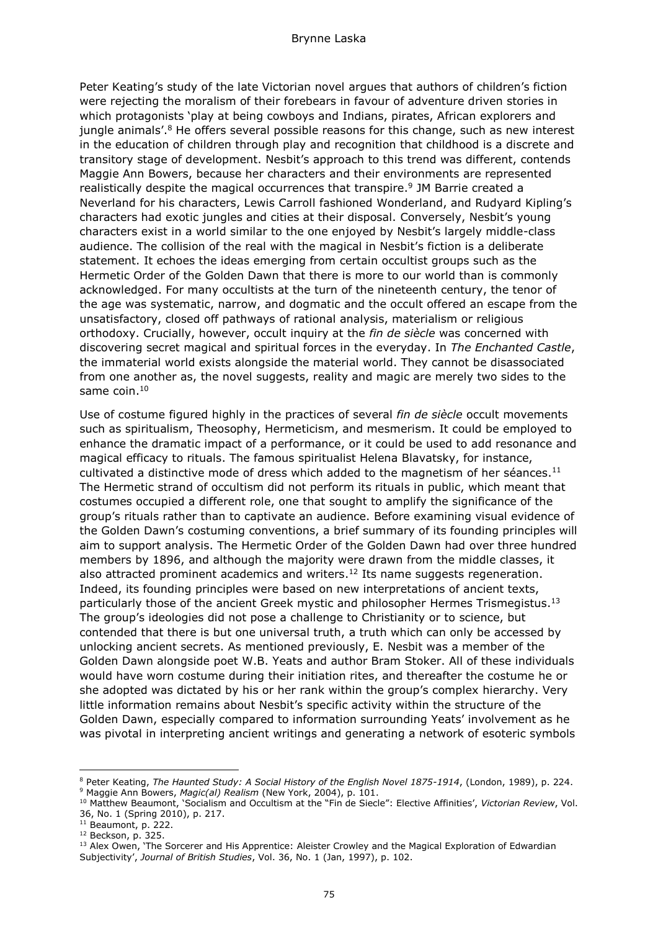Peter Keating's study of the late Victorian novel argues that authors of children's fiction were rejecting the moralism of their forebears in favour of adventure driven stories in which protagonists 'play at being cowboys and Indians, pirates, African explorers and jungle animals'.<sup>8</sup> He offers several possible reasons for this change, such as new interest in the education of children through play and recognition that childhood is a discrete and transitory stage of development. Nesbit's approach to this trend was different, contends Maggie Ann Bowers, because her characters and their environments are represented realistically despite the magical occurrences that transpire. 9 JM Barrie created a Neverland for his characters, Lewis Carroll fashioned Wonderland, and Rudyard Kipling's characters had exotic jungles and cities at their disposal. Conversely, Nesbit's young characters exist in a world similar to the one enjoyed by Nesbit's largely middle-class audience. The collision of the real with the magical in Nesbit's fiction is a deliberate statement. It echoes the ideas emerging from certain occultist groups such as the Hermetic Order of the Golden Dawn that there is more to our world than is commonly acknowledged. For many occultists at the turn of the nineteenth century, the tenor of the age was systematic, narrow, and dogmatic and the occult offered an escape from the unsatisfactory, closed off pathways of rational analysis, materialism or religious orthodoxy. Crucially, however, occult inquiry at the *fin de siècle* was concerned with discovering secret magical and spiritual forces in the everyday. In *The Enchanted Castle*, the immaterial world exists alongside the material world. They cannot be disassociated from one another as, the novel suggests, reality and magic are merely two sides to the same coin. 10

Use of costume figured highly in the practices of several *fin de siècle* occult movements such as spiritualism, Theosophy, Hermeticism, and mesmerism. It could be employed to enhance the dramatic impact of a performance, or it could be used to add resonance and magical efficacy to rituals. The famous spiritualist Helena Blavatsky, for instance, cultivated a distinctive mode of dress which added to the magnetism of her séances.<sup>11</sup> The Hermetic strand of occultism did not perform its rituals in public, which meant that costumes occupied a different role, one that sought to amplify the significance of the group's rituals rather than to captivate an audience. Before examining visual evidence of the Golden Dawn's costuming conventions, a brief summary of its founding principles will aim to support analysis. The Hermetic Order of the Golden Dawn had over three hundred members by 1896, and although the majority were drawn from the middle classes, it also attracted prominent academics and writers.<sup>12</sup> Its name suggests regeneration. Indeed, its founding principles were based on new interpretations of ancient texts, particularly those of the ancient Greek mystic and philosopher Hermes Trismegistus.<sup>13</sup> The group's ideologies did not pose a challenge to Christianity or to science, but contended that there is but one universal truth, a truth which can only be accessed by unlocking ancient secrets. As mentioned previously, E. Nesbit was a member of the Golden Dawn alongside poet W.B. Yeats and author Bram Stoker. All of these individuals would have worn costume during their initiation rites, and thereafter the costume he or she adopted was dictated by his or her rank within the group's complex hierarchy. Very little information remains about Nesbit's specific activity within the structure of the Golden Dawn, especially compared to information surrounding Yeats' involvement as he was pivotal in interpreting ancient writings and generating a network of esoteric symbols

 $\overline{a}$ 

<sup>8</sup> Peter Keating, *The Haunted Study: A Social History of the English Novel 1875-1914*, (London, 1989), p. 224. <sup>9</sup> Maggie Ann Bowers, *Magic(al) Realism* (New York, 2004), p. 101.

<sup>10</sup> Matthew Beaumont, 'Socialism and Occultism at the "Fin de Siecle": Elective Affinities', *Victorian Review*, Vol. 36, No. 1 (Spring 2010), p. 217.

<sup>11</sup> Beaumont, p. 222.

 $12$  Beckson, p. 325.

<sup>&</sup>lt;sup>13</sup> Alex Owen, 'The Sorcerer and His Apprentice: Aleister Crowley and the Magical Exploration of Edwardian Subjectivity', *Journal of British Studies*, Vol. 36, No. 1 (Jan, 1997), p. 102.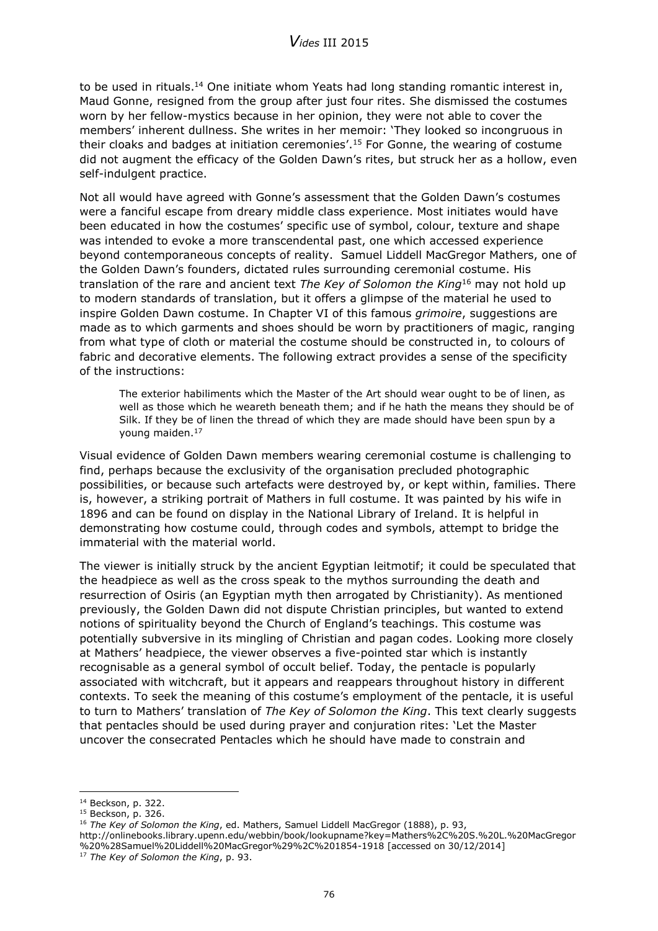to be used in rituals.<sup>14</sup> One initiate whom Yeats had long standing romantic interest in, Maud Gonne, resigned from the group after just four rites. She dismissed the costumes worn by her fellow-mystics because in her opinion, they were not able to cover the members' inherent dullness. She writes in her memoir: 'They looked so incongruous in their cloaks and badges at initiation ceremonies'.<sup>15</sup> For Gonne, the wearing of costume did not augment the efficacy of the Golden Dawn's rites, but struck her as a hollow, even self-indulgent practice.

Not all would have agreed with Gonne's assessment that the Golden Dawn's costumes were a fanciful escape from dreary middle class experience. Most initiates would have been educated in how the costumes' specific use of symbol, colour, texture and shape was intended to evoke a more transcendental past, one which accessed experience beyond contemporaneous concepts of reality. Samuel Liddell MacGregor Mathers, one of the Golden Dawn's founders, dictated rules surrounding ceremonial costume. His translation of the rare and ancient text *The Key of Solomon the King*<sup>16</sup> may not hold up to modern standards of translation, but it offers a glimpse of the material he used to inspire Golden Dawn costume. In Chapter VI of this famous *grimoire*, suggestions are made as to which garments and shoes should be worn by practitioners of magic, ranging from what type of cloth or material the costume should be constructed in, to colours of fabric and decorative elements. The following extract provides a sense of the specificity of the instructions:

The exterior habiliments which the Master of the Art should wear ought to be of linen, as well as those which he weareth beneath them; and if he hath the means they should be of Silk. If they be of linen the thread of which they are made should have been spun by a young maiden.<sup>17</sup>

Visual evidence of Golden Dawn members wearing ceremonial costume is challenging to find, perhaps because the exclusivity of the organisation precluded photographic possibilities, or because such artefacts were destroyed by, or kept within, families. There is, however, a striking portrait of Mathers in full costume. It was painted by his wife in 1896 and can be found on display in the National Library of Ireland. It is helpful in demonstrating how costume could, through codes and symbols, attempt to bridge the immaterial with the material world.

The viewer is initially struck by the ancient Egyptian leitmotif; it could be speculated that the headpiece as well as the cross speak to the mythos surrounding the death and resurrection of Osiris (an Egyptian myth then arrogated by Christianity). As mentioned previously, the Golden Dawn did not dispute Christian principles, but wanted to extend notions of spirituality beyond the Church of England's teachings. This costume was potentially subversive in its mingling of Christian and pagan codes. Looking more closely at Mathers' headpiece, the viewer observes a five-pointed star which is instantly recognisable as a general symbol of occult belief. Today, the pentacle is popularly associated with witchcraft, but it appears and reappears throughout history in different contexts. To seek the meaning of this costume's employment of the pentacle, it is useful to turn to Mathers' translation of *The Key of Solomon the King*. This text clearly suggests that pentacles should be used during prayer and conjuration rites: 'Let the Master uncover the consecrated Pentacles which he should have made to constrain and

<sup>14</sup> Beckson, p. 322.

<sup>15</sup> Beckson, p. 326.

<sup>16</sup> *The Key of Solomon the King*, ed. Mathers, Samuel Liddell MacGregor (1888), p. 93, http://onlinebooks.library.upenn.edu/webbin/book/lookupname?key=Mathers%2C%20S.%20L.%20MacGregor %20%28Samuel%20Liddell%20MacGregor%29%2C%201854-1918 [accessed on 30/12/2014]

<sup>17</sup> *The Key of Solomon the King*, p. 93.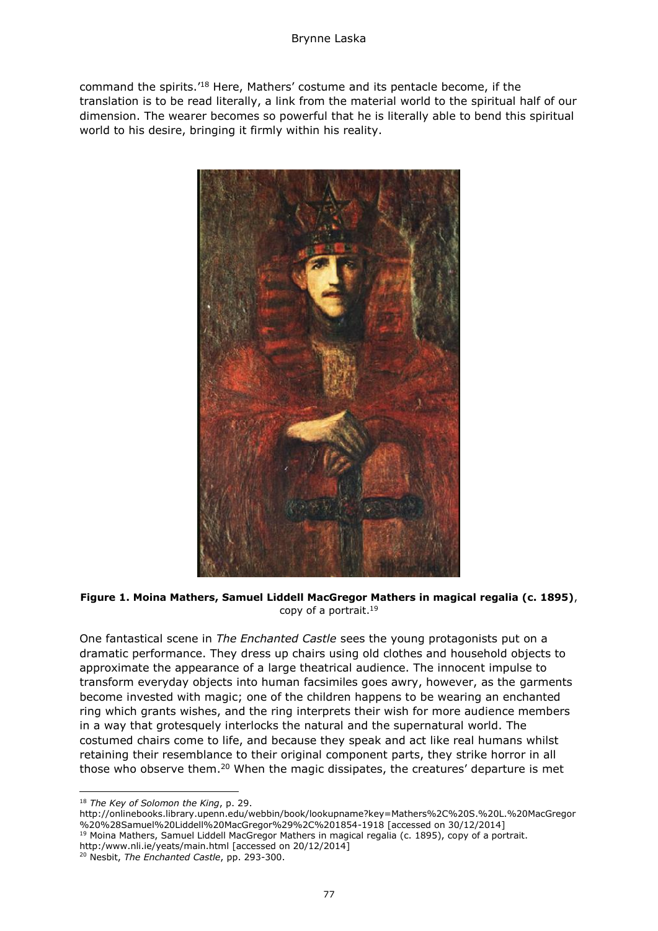command the spirits.'<sup>18</sup> Here, Mathers' costume and its pentacle become, if the translation is to be read literally, a link from the material world to the spiritual half of our dimension. The wearer becomes so powerful that he is literally able to bend this spiritual world to his desire, bringing it firmly within his reality.



**Figure 1. Moina Mathers, Samuel Liddell MacGregor Mathers in magical regalia (c. 1895)**, copy of a portrait.<sup>19</sup>

One fantastical scene in *The Enchanted Castle* sees the young protagonists put on a dramatic performance. They dress up chairs using old clothes and household objects to approximate the appearance of a large theatrical audience. The innocent impulse to transform everyday objects into human facsimiles goes awry, however, as the garments become invested with magic; one of the children happens to be wearing an enchanted ring which grants wishes, and the ring interprets their wish for more audience members in a way that grotesquely interlocks the natural and the supernatural world. The costumed chairs come to life, and because they speak and act like real humans whilst retaining their resemblance to their original component parts, they strike horror in all those who observe them.<sup>20</sup> When the magic dissipates, the creatures' departure is met

<sup>18</sup> *The Key of Solomon the King*, p. 29.

http://onlinebooks.library.upenn.edu/webbin/book/lookupname?key=Mathers%2C%20S.%20L.%20MacGregor %20%28Samuel%20Liddell%20MacGregor%29%2C%201854-1918 [accessed on 30/12/2014]

<sup>&</sup>lt;sup>19</sup> Moina Mathers, Samuel Liddell MacGregor Mathers in magical regalia (c. 1895), copy of a portrait.

http:/www.nli.ie/yeats/main.html [accessed on 20/12/2014]

<sup>20</sup> Nesbit, *The Enchanted Castle*, pp. 293-300.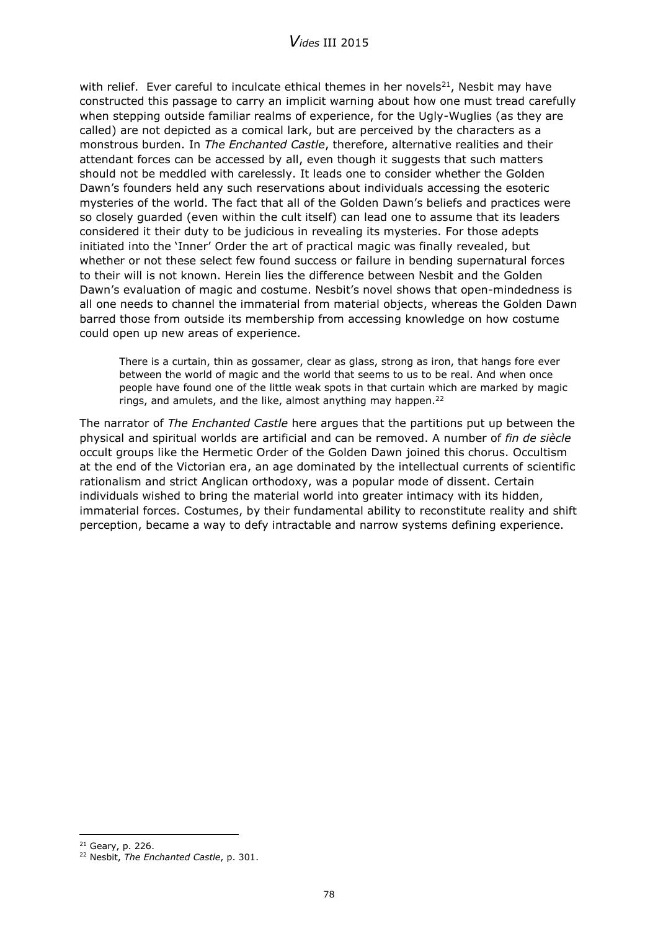with relief. Ever careful to inculcate ethical themes in her novels<sup>21</sup>, Nesbit may have constructed this passage to carry an implicit warning about how one must tread carefully when stepping outside familiar realms of experience, for the Ugly-Wuglies (as they are called) are not depicted as a comical lark, but are perceived by the characters as a monstrous burden. In *The Enchanted Castle*, therefore, alternative realities and their attendant forces can be accessed by all, even though it suggests that such matters should not be meddled with carelessly. It leads one to consider whether the Golden Dawn's founders held any such reservations about individuals accessing the esoteric mysteries of the world. The fact that all of the Golden Dawn's beliefs and practices were so closely guarded (even within the cult itself) can lead one to assume that its leaders considered it their duty to be judicious in revealing its mysteries. For those adepts initiated into the 'Inner' Order the art of practical magic was finally revealed, but whether or not these select few found success or failure in bending supernatural forces to their will is not known. Herein lies the difference between Nesbit and the Golden Dawn's evaluation of magic and costume. Nesbit's novel shows that open-mindedness is all one needs to channel the immaterial from material objects, whereas the Golden Dawn barred those from outside its membership from accessing knowledge on how costume could open up new areas of experience.

There is a curtain, thin as gossamer, clear as glass, strong as iron, that hangs fore ever between the world of magic and the world that seems to us to be real. And when once people have found one of the little weak spots in that curtain which are marked by magic rings, and amulets, and the like, almost anything may happen.<sup>22</sup>

The narrator of *The Enchanted Castle* here argues that the partitions put up between the physical and spiritual worlds are artificial and can be removed. A number of *fin de siècle* occult groups like the Hermetic Order of the Golden Dawn joined this chorus. Occultism at the end of the Victorian era, an age dominated by the intellectual currents of scientific rationalism and strict Anglican orthodoxy, was a popular mode of dissent. Certain individuals wished to bring the material world into greater intimacy with its hidden, immaterial forces. Costumes, by their fundamental ability to reconstitute reality and shift perception, became a way to defy intractable and narrow systems defining experience.

<sup>21</sup> Geary, p. 226.

<sup>22</sup> Nesbit, *The Enchanted Castle*, p. 301.